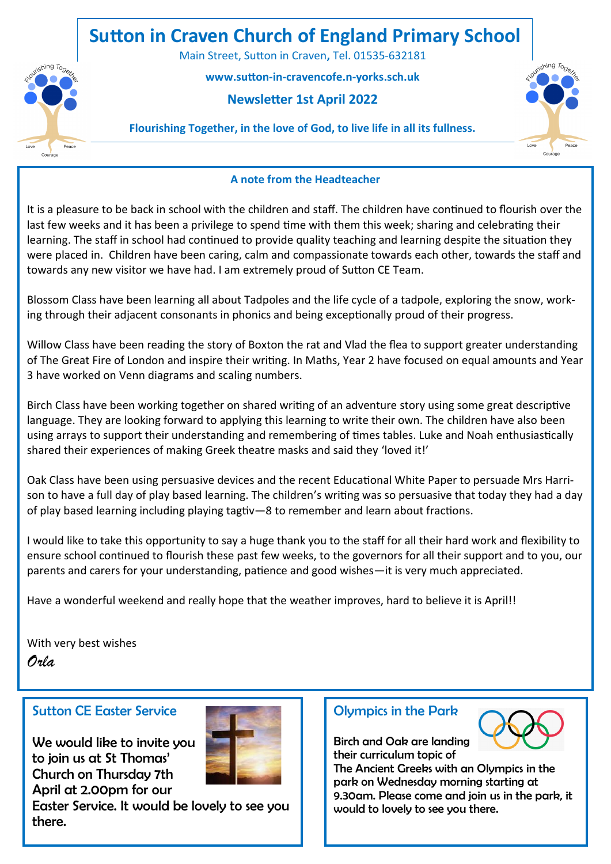# **Sutton in Craven Church of England Primary School**

Main Street, Sutton in Craven**,** Tel. 01535-632181

 **www.sutton-in-cravencofe.n-yorks.sch.uk** 

### **Newsletter 1st April 2022**



#### **Flourishing Together, in the love of God, to live life in all its fullness.**

#### **A note from the Headteacher**

It is a pleasure to be back in school with the children and staff. The children have continued to flourish over the last few weeks and it has been a privilege to spend time with them this week; sharing and celebrating their learning. The staff in school had continued to provide quality teaching and learning despite the situation they were placed in. Children have been caring, calm and compassionate towards each other, towards the staff and towards any new visitor we have had. I am extremely proud of Sutton CE Team.

Blossom Class have been learning all about Tadpoles and the life cycle of a tadpole, exploring the snow, working through their adjacent consonants in phonics and being exceptionally proud of their progress.

Willow Class have been reading the story of Boxton the rat and Vlad the flea to support greater understanding of The Great Fire of London and inspire their writing. In Maths, Year 2 have focused on equal amounts and Year 3 have worked on Venn diagrams and scaling numbers.

Birch Class have been working together on shared writing of an adventure story using some great descriptive language. They are looking forward to applying this learning to write their own. The children have also been using arrays to support their understanding and remembering of times tables. Luke and Noah enthusiastically shared their experiences of making Greek theatre masks and said they 'loved it!'

Oak Class have been using persuasive devices and the recent Educational White Paper to persuade Mrs Harrison to have a full day of play based learning. The children's writing was so persuasive that today they had a day of play based learning including playing tagtiv—8 to remember and learn about fractions.

I would like to take this opportunity to say a huge thank you to the staff for all their hard work and flexibility to ensure school continued to flourish these past few weeks, to the governors for all their support and to you, our parents and carers for your understanding, patience and good wishes—it is very much appreciated.

Have a wonderful weekend and really hope that the weather improves, hard to believe it is April!!

With very best wishes *Orla*

#### Sutton CE Easter Service

We would like to invite you to join us at St Thomas' Church on Thursday 7th April at 2.00pm for our



Easter Service. It would be lovely to see you there.

#### Olympics in the Park



Birch and Oak are landing their curriculum topic of

The Ancient Greeks with an Olympics in the park on Wednesday morning starting at 9.30am. Please come and join us in the park, it would to lovely to see you there.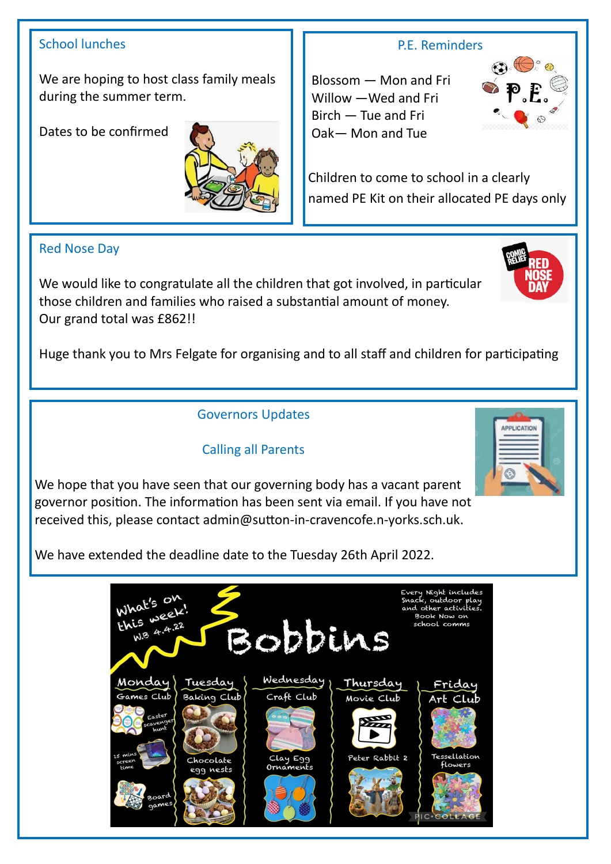## School lunches

We are hoping to host class family meals during the summer term.

Dates to be confirmed



## Red Nose Day

We would like to congratulate all the children that got involved, in particular those children and families who raised a substantial amount of money. Our grand total was £862!!

Huge thank you to Mrs Felgate for organising and to all staff and children for participating

# Governors Updates

# Calling all Parents

We hope that you have seen that our governing body has a vacant parent governor position. The information has been sent via email. If you have not received this, please contact admin@sutton-in-cravencofe.n-yorks.sch.uk.

We have extended the deadline date to the Tuesday 26th April 2022.



### P.E. Reminders

Blossom — Mon and Fri Willow —Wed and Fri Birch — Tue and Fri Oak— Mon and Tue

Children to come to school in a clearly named PE Kit on their allocated PE days only